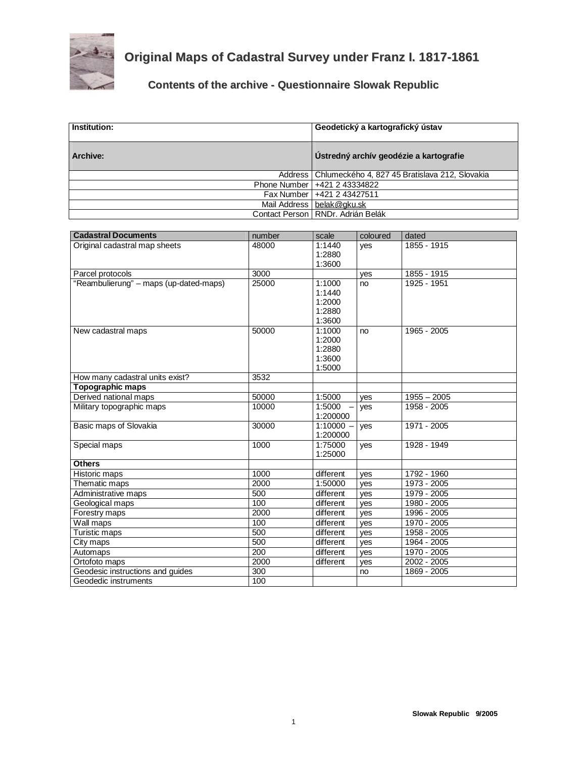

## **Original Maps of Cadastral Survey under Franz I. 1817-1861**

## **Contents of the archive - Questionnaire Slowak Republic**

| Institution: | Geodetický a kartografický ústav                         |
|--------------|----------------------------------------------------------|
| Archive:     | Ústredný archív geodézie a kartografie                   |
|              | Address   Chlumeckého 4, 827 45 Bratislava 212, Slovakia |
|              | Phone Number   +421 2 43334822                           |
|              | Fax Number   +421 2 43427511                             |
|              | Mail Address   belak@gku.sk                              |
|              | Contact Person   RNDr. Adrián Belák                      |

| <b>Cadastral Documents</b>             | number | scale       | coloured | dated         |
|----------------------------------------|--------|-------------|----------|---------------|
| Original cadastral map sheets          | 48000  | 1:1440      | yes      | 1855 - 1915   |
|                                        |        | 1:2880      |          |               |
|                                        |        | 1:3600      |          |               |
| Parcel protocols                       | 3000   |             | ves      | 1855 - 1915   |
| "Reambulierung" - maps (up-dated-maps) | 25000  | 1:1000      | no       | 1925 - 1951   |
|                                        |        | 1:1440      |          |               |
|                                        |        | 1:2000      |          |               |
|                                        |        | 1:2880      |          |               |
|                                        |        | 1:3600      |          |               |
| New cadastral maps                     | 50000  | 1:1000      | no       | 1965 - 2005   |
|                                        |        | 1:2000      |          |               |
|                                        |        | 1:2880      |          |               |
|                                        |        | 1:3600      |          |               |
|                                        |        | 1:5000      |          |               |
| How many cadastral units exist?        | 3532   |             |          |               |
| Topographic maps                       |        |             |          |               |
| Derived national maps                  | 50000  | 1:5000      | ves      | $1955 - 2005$ |
| Military topographic maps              | 10000  | 1:5000      | yes      | 1958 - 2005   |
|                                        |        | 1:200000    |          |               |
| Basic maps of Slovakia                 | 30000  | $1:10000 -$ | yes      | 1971 - 2005   |
|                                        |        | 1:200000    |          |               |
| Special maps                           | 1000   | 1:75000     | yes      | 1928 - 1949   |
|                                        |        | 1:25000     |          |               |
| <b>Others</b>                          |        |             |          |               |
| Historic maps                          | 1000   | different   | ves      | 1792 - 1960   |
| Thematic maps                          | 2000   | 1:50000     | ves      | 1973 - 2005   |
| Administrative maps                    | 500    | different   | ves      | $1979 - 2005$ |
| Geological maps                        | 100    | different   | ves      | 1980 - 2005   |
| Forestry maps                          | 2000   | different   | ves      | 1996 - 2005   |
| Wall maps                              | 100    | different   | ves      | 1970 - 2005   |
| <b>Turistic maps</b>                   | 500    | different   | yes      | 1958 - 2005   |
| City maps                              | 500    | different   | ves      | 1964 - 2005   |
| Automaps                               | 200    | different   | ves      | 1970 - 2005   |
| Ortofoto maps                          | 2000   | different   | yes      | 2002 - 2005   |
| Geodesic instructions and guides       | 300    |             | no       | 1869 - 2005   |
| Geodedic instruments                   | 100    |             |          |               |